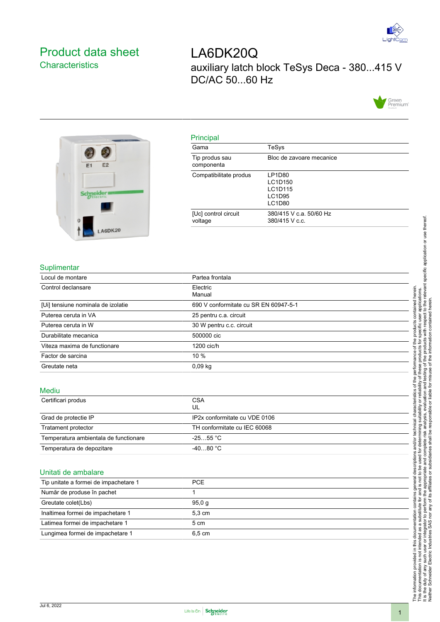

## <span id="page-0-0"></span>Product data sheet **Characteristics**

# LA6DK20Q auxiliary latch block TeSys Deca - 380...415 V DC/AC 50...60 Hz





| PHICIPAL                        |                                                  |
|---------------------------------|--------------------------------------------------|
| Gama                            | TeSys                                            |
| Tip produs sau<br>componenta    | Bloc de zavoare mecanice                         |
| Compatibilitate produs          | LP1D80<br>LC1D150<br>LC1D115<br>LC1D95<br>LC1D80 |
| [Uc] control circuit<br>voltage | 380/415 V c.a. 50/60 Hz<br>380/415 V c.c.        |

#### **Suplimentar**

| Locul de montare                   | Partea frontala                       |  |
|------------------------------------|---------------------------------------|--|
| Control declansare                 | Electric<br>Manual                    |  |
| [Ui] tensiune nominala de izolatie | 690 V conformitate cu SR EN 60947-5-1 |  |
| Puterea ceruta in VA               | 25 pentru c.a. circuit                |  |
| Puterea ceruta in W                | 30 W pentru c.c. circuit              |  |
| Durabilitate mecanica              | 500000 cic                            |  |
| Viteza maxima de functionare       | 1200 cic/h                            |  |
| Factor de sarcina                  | $10 \%$                               |  |
| Greutate neta                      | $0,09$ kg                             |  |

#### Mediu

| Certificari produs                    | <b>CSA</b>                    |  |
|---------------------------------------|-------------------------------|--|
|                                       | UL                            |  |
| Grad de protectie IP                  | IP2x conformitate cu VDE 0106 |  |
| Tratament protector                   | TH conformitate cu IEC 60068  |  |
| Temperatura ambientala de functionare | $-2555$ °C $\,$               |  |
| Temperatura de depozitare             | $-4080 °C$                    |  |

#### Unitati de ambalare

| Tip unitate a formei de impachetare 1 | <b>PCE</b>       |  |  |  |
|---------------------------------------|------------------|--|--|--|
| Număr de produse în pachet            |                  |  |  |  |
| Greutate colet(Lbs)                   | 95.0 a           |  |  |  |
| Inaltimea formei de impachetare 1     | $5.3 \text{ cm}$ |  |  |  |
| Latimea formei de impachetare 1       | 5 cm             |  |  |  |
| Lungimea formei de impachetare 1      | 6.5 cm           |  |  |  |